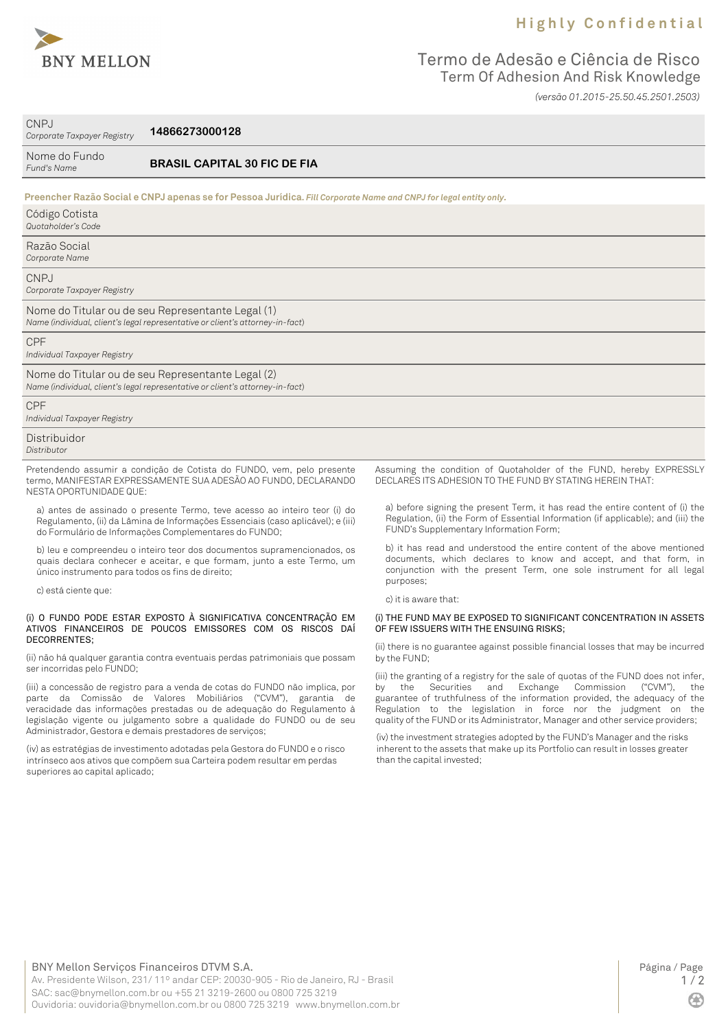

## **H i g h l y C o n f i d e n t i a l**

## Termo de Adesão e Ciência de Risco Term Of Adhesion And Risk Knowledge *(versão 01.2015-25.50.45.2501.2503)*

CNPJ

*Corporate Taxpayer Registry* **14866273000128**

| Nome do Fundo |
|---------------|
| Fund's Name   |

**BRASIL CAPITAL 30 FIC DE FIA**

| Preencher Razão Social e CNPJ apenas se for Pessoa Jurídica. Fill Corporate Name and CNPJ for legal entity only.                   |
|------------------------------------------------------------------------------------------------------------------------------------|
| Código Cotista<br>Quotaholder's Code                                                                                               |
| Razão Social<br>Corporate Name                                                                                                     |
| CNPJ<br>Corporate Taxpayer Registry                                                                                                |
| Nome do Titular ou de seu Representante Legal (1)<br>Name (individual, client's legal representative or client's attorney-in-fact) |
| <b>CPF</b><br>Individual Taxpayer Registry                                                                                         |
| Nome do Titular ou de seu Representante Legal (2)<br>Name (individual, client's legal representative or client's attorney-in-fact) |
| <b>CPF</b><br>Individual Taxpayer Registry                                                                                         |
| Distribuidor<br>Distributor                                                                                                        |

Pretendendo assumir a condição de Cotista do FUNDO, vem, pelo presente termo, MANIFESTAR EXPRESSAMENTE SUA ADESÃO AO FUNDO, DECLARANDO NESTA OPORTUNIDADE QUE:

a) antes de assinado o presente Termo, teve acesso ao inteiro teor (i) do Regulamento, (ii) da Lâmina de Informações Essenciais (caso aplicável); e (iii) do Formulário de Informações Complementares do FUNDO;

b) leu e compreendeu o inteiro teor dos documentos supramencionados, os quais declara conhecer e aceitar, e que formam, junto a este Termo, um único instrumento para todos os fins de direito;

c) está ciente que:

#### (i) O FUNDO PODE ESTAR EXPOSTO À SIGNIFICATIVA CONCENTRAÇÃO EM ATIVOS FINANCEIROS DE POUCOS EMISSORES COM OS RISCOS DAÍ DECORRENTES;

(ii) não há qualquer garantia contra eventuais perdas patrimoniais que possam ser incorridas pelo FUNDO;

(iii) a concessão de registro para a venda de cotas do FUNDO não implica, por parte da Comissão de Valores Mobiliários ("CVM"), garantia de veracidade das informações prestadas ou de adequação do Regulamento à legislação vigente ou julgamento sobre a qualidade do FUNDO ou de seu Administrador, Gestora e demais prestadores de serviços;

(iv) as estratégias de investimento adotadas pela Gestora do FUNDO e o risco intrínseco aos ativos que compõem sua Carteira podem resultar em perdas superiores ao capital aplicado;

Assuming the condition of Quotaholder of the FUND, hereby EXPRESSLY DECLARES ITS ADHESION TO THE FUND BY STATING HEREIN THAT:

a) before signing the present Term, it has read the entire content of (i) the Regulation, (ii) the Form of Essential Information (if applicable); and (iii) the FUND's Supplementary Information Form;

b) it has read and understood the entire content of the above mentioned documents, which declares to know and accept, and that form, in conjunction with the present Term, one sole instrument for all legal purposes;

c) it is aware that:

### (i) THE FUND MAY BE EXPOSED TO SIGNIFICANT CONCENTRATION IN ASSETS OF FEW ISSUERS WITH THE ENSUING RISKS;

(ii) there is no guarantee against possible financial losses that may be incurred by the FUND;

(iii) the granting of a registry for the sale of quotas of the FUND does not infer, by the Securities and Exchange Commission ("CVM"), the guarantee of truthfulness of the information provided, the adequacy of the Regulation to the legislation in force nor the judgment on the quality of the FUND or its Administrator, Manager and other service providers;

(iv) the investment strategies adopted by the FUND's Manager and the risks inherent to the assets that make up its Portfolio can result in losses greater than the capital invested;